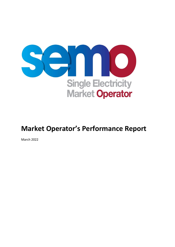

# **Market Operator's Performance Report**

March 2022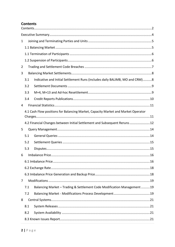# <span id="page-1-0"></span>**Contents**

| 1 |     |                                                                                   |
|---|-----|-----------------------------------------------------------------------------------|
|   |     |                                                                                   |
|   |     |                                                                                   |
|   |     |                                                                                   |
| 2 |     |                                                                                   |
| 3 |     |                                                                                   |
|   | 3.1 | Indicative and Initial Settlement Runs (includes daily BALIMB, MO and CRM)8       |
|   | 3.2 |                                                                                   |
|   | 3.3 |                                                                                   |
|   | 3.4 |                                                                                   |
| 4 |     |                                                                                   |
|   |     | 4.1 Cash Flow positions for Balancing Market, Capacity Market and Market Operator |
|   |     |                                                                                   |
|   |     | 4.2 Financial Changes between Initial Settlement and Subsequent Reruns12          |
| 5 |     |                                                                                   |
|   | 5.1 |                                                                                   |
|   | 5.2 |                                                                                   |
|   | 5.3 |                                                                                   |
| 6 |     |                                                                                   |
|   |     |                                                                                   |
|   |     |                                                                                   |
|   |     |                                                                                   |
| 7 |     |                                                                                   |
|   | 7.1 | Balancing Market - Trading & Settlement Code Modification Management 19           |
|   | 7.2 |                                                                                   |
| 8 |     |                                                                                   |
|   | 8.1 |                                                                                   |
|   | 8.2 |                                                                                   |
|   |     |                                                                                   |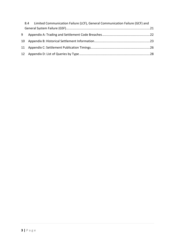|   | 8.4 Limited Communication Failure (LCF), General Communication Failure (GCF) and |  |
|---|----------------------------------------------------------------------------------|--|
|   |                                                                                  |  |
| 9 |                                                                                  |  |
|   |                                                                                  |  |
|   |                                                                                  |  |
|   |                                                                                  |  |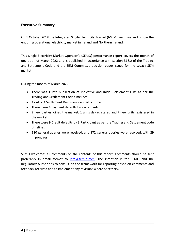# <span id="page-3-0"></span>**Executive Summary**

On 1 October 2018 the Integrated Single Electricity Market (I-SEM) went live and is now the enduring operational electricity market in Ireland and Northern Ireland.

This Single Electricity Market Operator's (SEMO) performance report covers the month of operation of March 2022 and is published in accordance with section B16.2 of the Trading and Settlement Code and the SEM Committee decision paper issued for the Legacy SEM market.

During the month of March 2022:

- There was 1 late publication of Indicative and Initial Settlement runs as per the Trading and Settlement Code timelines
- 4 out of 4 Settlement Documents issued on time
- There were 4 payment defaults by Participants
- 2 new parties joined the market, 1 units de-registered and 7 new units registered in the market
- There were 9 Credit defaults by 3 Participant as per the Trading and Settlement code timelines
- 180 general queries were received, and 172 general queries were resolved, with 29 in progress

SEMO welcomes all comments on the contents of this report. Comments should be sent preferably in email format to [info@sem-o.com.](mailto:info@sem-o.com) The intention is for SEMO and the Regulatory Authorities to consult on the framework for reporting based on comments and feedback received and to implement any revisions where necessary.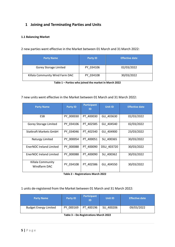# <span id="page-4-0"></span>**1 Joining and Terminating Parties and Units**

#### <span id="page-4-1"></span>**1.1 Balancing Market**

2 new parties went effective in the Market between 01 March and 31 March 2022:

| <b>Party Name</b>               | <b>Party ID</b> | <b>Effective date</b> |
|---------------------------------|-----------------|-----------------------|
| Gorey Storage Limited           | PY 034106       | 02/03/2022            |
| Killala Community Wind Farm DAC | PY 034108       | 30/03/2022            |

**Table 1 – Parties who joined the market in March 2022**

7 new units went effective in the Market between 01 March and 31 March 2022:

| <b>Party Name</b>                 | <b>Party ID</b> | <b>Participant</b><br>ID | <b>Unit ID</b> | <b>Effective date</b> |
|-----------------------------------|-----------------|--------------------------|----------------|-----------------------|
| <b>ESB</b>                        | PY 000030       | PT 400030                | GU 403630      | 02/03/2022            |
| Gorey Storage Limited             | PY 034106       | PT 402585                | GU 404540      | 02/03/2022            |
| <b>Statkraft Markets GmbH</b>     | PY 034046       | PT 402540                | GU 404900      | 23/03/2022            |
| Naturgy Limited                   | PY 000054       | PT 400051                | SU 400365      | 30/03/2022            |
| EnerNOC Ireland Limited           | PY 000088       | PT 400090                | DSU 403720     | 30/03/2022            |
| EnerNOC Ireland Limited           | PY 000088       | PT 400090                | SU 400362      | 30/03/2022            |
| Killala Community<br>Windfarm DAC | PY 034108       | PT 402586                | GU_404550      | 30/03/2022            |

**Table 2 – Registrations March 2022**

#### 1 units de-registered from the Market between 01 March and 31 March 2022:

| <b>Party Name</b>                    | <b>Party ID</b> | <b>Participant</b><br>ID | <b>Unit ID</b> | <b>Effective date</b> |  |
|--------------------------------------|-----------------|--------------------------|----------------|-----------------------|--|
| <b>Budget Energy Limited</b>         | PY 000169       | PT 400196                | SU 400206      | 09/03/2022            |  |
| Table 2. De Begistrations March 2022 |                 |                          |                |                       |  |

**Table 3 – De-Registrations March 2022**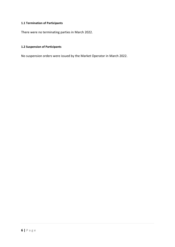### <span id="page-5-0"></span>**1.1 Termination of Participants**

There were no terminating parties in March 2022.

#### <span id="page-5-1"></span>**1.2 Suspension of Participants**

No suspension orders were issued by the Market Operator in March 2022.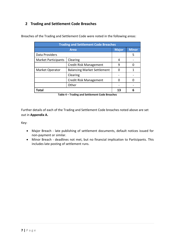# <span id="page-6-0"></span>**2 Trading and Settlement Code Breaches**

| <b>Trading and Settlement Code Breaches</b> |                                    |              |              |  |
|---------------------------------------------|------------------------------------|--------------|--------------|--|
|                                             | <b>Area</b>                        | <b>Major</b> | <b>Minor</b> |  |
| Data Providers                              |                                    | 5            |              |  |
| <b>Market Participants</b>                  | Clearing                           | 4            |              |  |
|                                             | <b>Credit Risk Management</b>      | 9            |              |  |
| Market Operator                             | <b>Balancing Market Settlement</b> |              |              |  |
|                                             | Clearing                           |              |              |  |
|                                             | <b>Credit Risk Management</b>      |              |              |  |
|                                             | Other                              |              |              |  |
| Total                                       | 13                                 | 6            |              |  |

Breaches of the Trading and Settlement Code were noted in the following areas:

**Table 4 – Trading and Settlement Code Breaches**

Further details of each of the Trading and Settlement Code breaches noted above are set out in **Appendix A.**

Key:

- Major Breach late publishing of settlement documents, default notices issued for non-payment or similar.
- Minor Breach deadlines not met, but no financial implication to Participants. This includes late posting of settlement runs.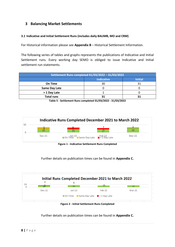# <span id="page-7-0"></span>**3 Balancing Market Settlements**

#### <span id="page-7-1"></span>**3.1 Indicative and Initial Settlement Runs (includes daily BALIMB, MO and CRM)**

For Historical information please see **Appendix B** – Historical Settlement Information.

The following series of tables and graphs represents the publications of Indicative and Initial Settlement runs. Every working day SEMO is obliged to issue Indicative and Initial settlement run statements.

| Settlement Runs completed 01/03/2022 - 31/03/2022 |                   |                |  |
|---------------------------------------------------|-------------------|----------------|--|
|                                                   | <b>Indicative</b> | <b>Initial</b> |  |
| On Time                                           | 30                | 31             |  |
| Same Day Late                                     |                   |                |  |
| > 1 Day Late                                      |                   |                |  |
| <b>Total runs</b>                                 |                   |                |  |

**Table 5 - Settlement Runs completed 01/03/2022 - 31/03/2022**



**Figure 1 - Indicative Settlement Runs Completed**

#### Further details on publication times can be found in **Appendix C.**



**Figure 2 - Initial Settlement Runs Completed**

Further details on publication times can be found in **Appendix C.**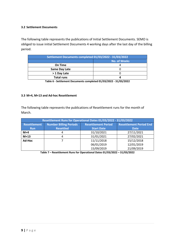#### <span id="page-8-0"></span>**3.2 Settlement Documents**

The following table represents the publications of Initial Settlement Documents. SEMO is obliged to issue initial Settlement Documents 4 working days after the last day of the billing period.

| Settlement Documents completed 01/03/2022 - 31/03/2022 |                     |  |  |
|--------------------------------------------------------|---------------------|--|--|
|                                                        | <b>No. of Weeks</b> |  |  |
| On Time                                                |                     |  |  |
| Same Day Late                                          |                     |  |  |
| > 1 Day Late                                           |                     |  |  |
| <b>Total runs</b>                                      |                     |  |  |
|                                                        |                     |  |  |

**Table 6 - Settlement Documents completed 01/03/2022 - 31/03/2022**

#### <span id="page-8-1"></span>**3.3 M+4, M+13 and Ad-hoc Resettlement**

The following table represents the publications of Resettlement runs for the month of March.

| Resettlement Runs for Operational Dates 01/03/2022 - 31/03/2022 |                  |                            |                                |  |  |
|-----------------------------------------------------------------|------------------|----------------------------|--------------------------------|--|--|
| <b>Number Billing Periods</b><br><b>Resettlement</b>            |                  | <b>Resettlement Period</b> | <b>Resettlement Period End</b> |  |  |
| <b>Run</b>                                                      | <b>Resettled</b> | <b>Start Date</b>          | <b>Date</b>                    |  |  |
| $M+4$                                                           |                  | 31/10/2021                 | 27/11/2021                     |  |  |
| $M+13$                                                          | 4                | 31/01/2021                 | 27/02/2021                     |  |  |
| Ad-Hoc                                                          |                  | 11/11/2018                 | 15/12/2018                     |  |  |
|                                                                 |                  | 06/01/2019                 | 12/01/2019                     |  |  |
|                                                                 |                  | 15/09/2019                 | 21/09/2019                     |  |  |

**Table 7 – Resettlement Runs for Operational Dates 01/03/2022 – 31/03/2022**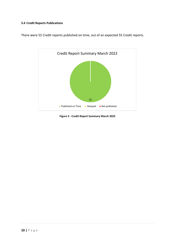### <span id="page-9-0"></span>**3.4 Credit Reports Publications**



There were 55 Credit reports published on time, out of an expected 55 Credit reports.

**Figure 3 - Credit Report Summary March 2022**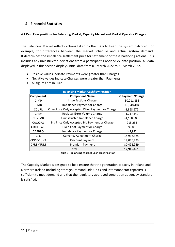# <span id="page-10-0"></span>**4 Financial Statistics**

#### <span id="page-10-1"></span>**4.1 Cash Flow positions for Balancing Market, Capacity Market and Market Operator Charges**

The Balancing Market reflects actions taken by the TSOs to keep the system balanced, for example, for differences between the market schedule and actual system demand. It determines the imbalance settlement price for settlement of these balancing actions. This includes any uninstructed deviations from a participant's notified ex-ante position. All data displayed in this section displays Initial data from 01 March 2022 to 31 March 2022.

- Positive values indicate Payments were greater than Charges
- Negative values indicate Charges were greater than Payments
- All figures are in Euro

| <b>Balancing Market Cashflow Position</b> |                                                   |                  |  |  |  |
|-------------------------------------------|---------------------------------------------------|------------------|--|--|--|
| <b>Component</b>                          | <b>Component Name</b>                             | € Payment/Charge |  |  |  |
| <b>CIMP</b>                               | <b>Imperfections Charge</b>                       | $-30,011,858$    |  |  |  |
| <b>CIMB</b>                               | Imbalance Payment or Charge                       | $-16,548,404$    |  |  |  |
| <b>CCURL</b>                              | Offer Price Only Accepted Offer Payment or Charge | $-1,868,672$     |  |  |  |
| <b>CREV</b>                               | Residual Error Volume Charge                      | $-1,217,442$     |  |  |  |
| <b>CUNIMB</b>                             | Uninstructed Imbalance Charge                     | $-1,168,608$     |  |  |  |
| <b>CAOOPO</b>                             | Bid Price Only Accepted Bid Payment or Charge     | $-915,253$       |  |  |  |
| <b>CDIFFCWD</b>                           | <b>Fixed Cost Payment or Charge</b>               | $-9,301$         |  |  |  |
| <b>CABBPO</b>                             | Imbalance Payment or Charge                       | 147,932          |  |  |  |
| <b>CFC</b>                                | <b>Currency Adjustment Charge</b>                 | 14,962,525       |  |  |  |
| CDISCOUNT                                 | <b>Discount Payment</b>                           | 19,046,793       |  |  |  |
| CPREMIUM                                  | Premium Payment                                   | 30,498,949       |  |  |  |
|                                           | 12,916,661<br><b>Total</b>                        |                  |  |  |  |

**Table 8 - Balancing Market Cash Flow Position**

The Capacity Market is designed to help ensure that the generation capacity in Ireland and Northern Ireland (including Storage, Demand Side Units and Interconnector capacity) is sufficient to meet demand and that the regulatory approved generation adequacy standard is satisfied.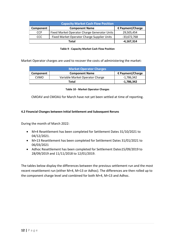| <b>Capacity Market Cash Flow Position</b> |                                              |                  |  |  |  |
|-------------------------------------------|----------------------------------------------|------------------|--|--|--|
| Component                                 | <b>Component Name</b>                        | € Payment/Charge |  |  |  |
| CCP                                       | Fixed Market Operator Charge Generator Units | 29,505,454       |  |  |  |
| CCC                                       | Fixed Market Operator Charge Supplier Units  |                  |  |  |  |
|                                           | Total                                        |                  |  |  |  |

#### **Table 9 - Capacity Market Cash Flow Position**

Market Operator charges are used to recover the costs of administering the market:

| <b>Market Operator Charges</b>                 |                       |                  |  |  |
|------------------------------------------------|-----------------------|------------------|--|--|
| Component                                      | <b>Component Name</b> | € Payment/Charge |  |  |
| Variable Market Operator Charge<br><b>CVMO</b> |                       | -1,786,342       |  |  |
|                                                | Total                 | -1,786,342       |  |  |

**Table 10 - Market Operator Charges**

CMOAV and CMOAU for March have not yet been settled at time of reporting.

#### <span id="page-11-0"></span>**4.2 Financial Changes between Initial Settlement and Subsequent Reruns**

During the month of March 2022:

- M+4 Resettlement has been completed for Settlement Dates 31/10/2021 to 04/12/2021.
- M+13 Resettlement has been completed for Settlement Dates 31/01/2021 to 06/03/2021
- Adhoc Resettlement has been completed for Settlement Dates15/09/2019 to 28/09/2019 and 11/11/2018 to 12/01/2019.

The tables below display the differences between the previous settlement run and the most recent resettlement run (either M+4, M+13 or Adhoc). The differences are then rolled up to the component charge level and combined for both M+4, M+13 and Adhoc.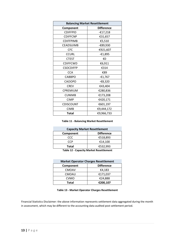| <b>Balancing Market Resettlement</b> |                   |  |  |  |
|--------------------------------------|-------------------|--|--|--|
| Component                            | <b>Difference</b> |  |  |  |
| <b>CDIFFPID</b>                      | $-£17,218$        |  |  |  |
| <b>CDIFFCNP</b>                      | €31,657           |  |  |  |
| <b>CDIFFPIMB</b>                     | €5,510            |  |  |  |
| <b>CEADSUIMB</b>                     | -€89,930          |  |  |  |
| <b>CFC</b>                           | -€921,607         |  |  |  |
| <b>CCURL</b>                         | $-£1,895$         |  |  |  |
| <b>CTEST</b>                         | €0                |  |  |  |
| <b>CDIFFCWD</b>                      | €6,911            |  |  |  |
| <b>CSOCDIFFP</b>                     | €314              |  |  |  |
| <b>CCA</b>                           | €89               |  |  |  |
| CABBPO                               | $-£1,767$         |  |  |  |
| <b>CAOOPO</b>                        | $-68,320$         |  |  |  |
| <b>CREV</b>                          | €43,404           |  |  |  |
| CPREMIUM                             | €280,836          |  |  |  |
| <b>CUNIMB</b>                        | €173,208          |  |  |  |
| <b>CIMP</b>                          | €420,171          |  |  |  |
| CDISCOUNT                            | €601,197          |  |  |  |
| <b>CIMB</b>                          | €9,444,172        |  |  |  |
| <b>Total</b>                         | €9,966,733        |  |  |  |

**Table 11 - Balancing Market Resettlement**

| <b>Difference</b><br>Component |  |  |  |  |  |
|--------------------------------|--|--|--|--|--|
| €518,893                       |  |  |  |  |  |
| €14,100                        |  |  |  |  |  |
| <b>Total</b><br>€532,993       |  |  |  |  |  |
|                                |  |  |  |  |  |

**Table 12 - Capacity Market Resettlement**

| <b>Market Operator Charges Resettlement</b> |          |  |  |  |
|---------------------------------------------|----------|--|--|--|
| <b>Difference</b><br>Component              |          |  |  |  |
| <b>CMOAV</b>                                | €4,183   |  |  |  |
| CMOAU                                       | €171,037 |  |  |  |
| <b>CVMO</b>                                 | €24,888  |  |  |  |
| €200,107<br>Total                           |          |  |  |  |

**Table 13 - Market Operator Charges Resettlement**

Financial Statistics Disclaimer: the above information represents settlement data aggregated during the month in assessment, which may be different to the accounting data audited post settlement period.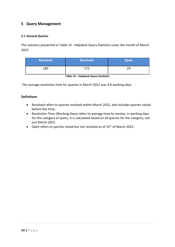# <span id="page-13-0"></span>**5 Query Management**

#### <span id="page-13-1"></span>**5.1 General Queries**

The statistics presented in Table 14 - Helpdesk Query Statistics cover the month of March 2022.

| <b>Received</b> | <b>Resolved</b> | <b>Open</b> |
|-----------------|-----------------|-------------|
| 180             | 177             | 29          |

The average resolution time for queries in March 2022 was 4.8 working days.

#### **Definitions**

- Resolved refers to queries resolved within March 2022, and includes queries raised before this time.
- Resolution Time (Working Days) refers to average time to resolve, in working days for this category of query. It is calculated based on all queries for the category, not just March 2022.
- Open refers to queries raised but not resolved as of 31<sup>st</sup> of March 2022.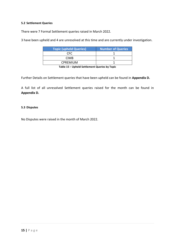#### <span id="page-14-0"></span>**5.2 Settlement Queries**

There were 7 Formal Settlement queries raised in March 2022.

3 have been upheld and 4 are unresolved at this time and are currently under investigation.

| <b>Topic (upheld Queries)</b> | <b>Number of Queries</b> |
|-------------------------------|--------------------------|
| CΕC                           |                          |
| <b>CIMB</b>                   |                          |
| <b>CPREMIUM</b>               |                          |

**Table 15 – Upheld Settlement Queries by Topic**

Further Details on Settlement queries that have been upheld can be found in **Appendix D.**

A full list of all unresolved Settlement queries raised for the month can be found in **Appendix D.**

#### <span id="page-14-1"></span>**5.3 Disputes**

No Disputes were raised in the month of March 2022.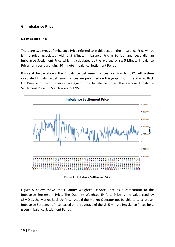# <span id="page-15-0"></span>**6 Imbalance Price**

#### <span id="page-15-1"></span>**6.1 Imbalance Price**

There are two types of Imbalance Price referred to in this section; the Imbalance Price which is the price associated with a 5 Minute Imbalance Pricing Period; and secondly, an Imbalance Settlement Price which is calculated as the average of six 5 Minute Imbalance Prices for a corresponding 30 minute Imbalance Settlement Period.

**Figure 4** below shows the Imbalance Settlement Prices for March 2022. All system calculated Imbalance Settlement Prices are published on this graph; both the Market Back Up Price and the 30 minute average of the Imbalance Price. The average Imbalance Settlement Price for March was €274.95.



**Figure 4 – Imbalance Settlement Price**

**Figure 5** below shows the Quantity Weighted Ex-Ante Price as a comparator to the Imbalance Settlement Price. The Quantity Weighted Ex-Ante Price is the value used by SEMO as the Market Back Up Price, should the Market Operator not be able to calculate an Imbalance Settlement Price; based on the average of the six 5 Minute Imbalance Prices for a given Imbalance Settlement Period.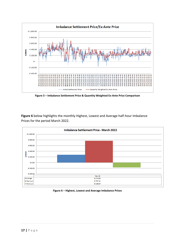

**Figure 5 – Imbalance Settlement Price & Quantity Weighted Ex-Ante Price Comparison**

**Figure 6** below highlights the monthly Highest, Lowest and Average half-hour Imbalance Prices for the period March 2022.



**Figure 6 – Highest, Lowest and Average Imbalance Prices**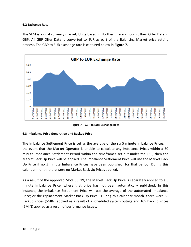#### **6.2 Exchange Rate**

<span id="page-17-0"></span>The SEM is a dual currency market, Units based in Northern Ireland submit their Offer Data in GBP. All GBP Offer Data is converted to EUR as part of the Balancing Market price setting process. The GBP to EUR exchange rate is captured below in **Figure 7**.



**Figure 7 – GBP to EUR Exchange Rate**

#### **6.3 Imbalance Price Generation and Backup Price**

<span id="page-17-1"></span>The Imbalance Settlement Price is set as the average of the six 5 minute Imbalance Prices. In the event that the Market Operator is unable to calculate any Imbalance Prices within a 30 minute Imbalance Settlement Period within the timeframes set out under the TSC; then the Market Back Up Price will be applied. The Imbalance Settlement Price will use the Market Back Up Price if no 5 minute Imbalance Prices have been published, for that period. During this calendar month, there were no Market Back Up Prices applied.

As a result of the approved Mod 03 19; the Market Back Up Price is separately applied to a 5 minute Imbalance Price, where that price has not been automatically published. In this instance, the Imbalance Settlement Price will use the average of the automated Imbalance Price; or the replacement Market Back Up Price. During this calendar month, there were 86 Backup Prices (5MIN) applied as a result of a scheduled system outage and 105 Backup Prices (5MIN) applied as a result of performance issues.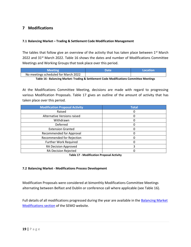# **7 Modifications**

#### <span id="page-18-0"></span>**7.1 Balancing Market – Trading & Settlement Code Modification Management**

<span id="page-18-1"></span>The tables that follow give an overview of the activity that has taken place between  $1<sup>st</sup>$  March 2022 and 31<sup>st</sup> March 2022. Table 16 shows the dates and number of Modifications Committee Meetings and Working Groups that took place over this period.

| Meeting.                             | Date | Location |
|--------------------------------------|------|----------|
| No meetings scheduled for March 2022 |      |          |
|                                      |      |          |

**Table 16 - Balancing Market: Trading & Settlement Code Modifications Committee Meetings**

At the Modifications Committee Meeting, decisions are made with regard to progressing various Modification Proposals. Table 17 gives an outline of the amount of activity that has taken place over this period.

| <b>Modification Proposal Activity</b> | <b>Total</b> |
|---------------------------------------|--------------|
| Raised                                |              |
| Alternative Versions raised           |              |
| Withdrawn                             |              |
| Deferred                              |              |
| <b>Extension Granted</b>              |              |
| <b>Recommended for Approval</b>       |              |
| Recommended for Rejection             |              |
| <b>Further Work Required</b>          |              |
| RA Decision Approved                  |              |
| RA Decision Rejected                  |              |

**Table 17 - Modification Proposal Activity**

#### **7.2 Balancing Market - Modifications Process Development**

<span id="page-18-2"></span>Modification Proposals were considered at bimonthly Modifications Committee Meetings alternating between Belfast and Dublin or conference call where applicable (see Table 16).

Full details of all modifications progressed during the year are available in the Balancing Market [Modifications section](https://www.sem-o.com/rules-and-modifications/balancing-market-modifications/) of the SEMO website.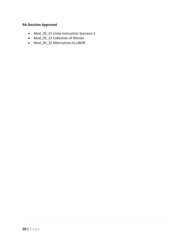# **RA Decision Approved**

- Mod\_20\_21 Undo Instruction Scenario 2
- Mod\_03\_22 Collection of Monies
- Mod\_04\_22 Alternatives to LIBOR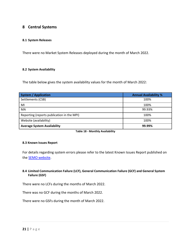# **8 Central Systems**

#### <span id="page-20-0"></span>**8.1 System Releases**

<span id="page-20-1"></span>There were no Market System Releases deployed during the month of March 2022.

#### **8.2 System Availability**

<span id="page-20-2"></span>The table below gives the system availability values for the month of March 2022:

| System / Application                       | <b>Annual Availability %</b> |
|--------------------------------------------|------------------------------|
| Settlements (CSB)                          | 100%                         |
| MI                                         | 100%                         |
| MA                                         | 99.93%                       |
| Reporting (reports publication in the MPI) | 100%                         |
| Website (availability)                     | 100%                         |
| <b>Average System Availability</b>         | 99.99%                       |

**Table 18 - Monthly Availability**

#### **8.3 Known Issues Report**

<span id="page-20-3"></span>For details regarding system errors please refer to the latest Known Issues Report published on the [SEMO website.](https://www.sem-o.com/documents/general-publications/ISEM-Known-Issues-Report-08-April-2022.pdf)

#### **8.4 Limited Communication Failure (LCF), General Communication Failure (GCF) and General System Failure (GSF)**

<span id="page-20-4"></span>There were no LCFs during the months of March 2022.

There was no GCF during the months of March 2022.

There were no GSFs during the month of March 2022.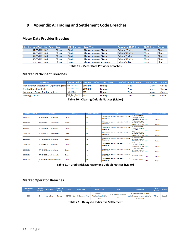# **9 Appendix A: Trading and Settlement Code Breaches**

#### <span id="page-21-0"></span>**Meter Data Provider Breaches**

| <b>Ops Date Identified</b> | <b>Run Type</b> | <b>Issue</b>  | <b>MDP Provider</b> | <b>Issue Type</b>            | <b>Description T&amp;SC Breach</b> | <b>T&amp;SC Breach Status</b> |        |
|----------------------------|-----------------|---------------|---------------------|------------------------------|------------------------------------|-------------------------------|--------|
| 11/03/2022 D+4             |                 | <b>Timing</b> | <b>SONI</b>         | File submission of DI data   | Delay of 49 mins                   | <b>Minor</b>                  | Closed |
| 12/03/2022 D+4             |                 | <b>Timing</b> | <b>SONI</b>         | File submission of DI data   | Delay of 10 mins                   | <b>Minor</b>                  | Closed |
| 14/03/2022 D+1             |                 | <b>Timing</b> | <b>SONI</b>         | File submission of DI data   | Delay of 9 mins                    | <b>Minor</b>                  | Closed |
| 15/03/2022 D+1             |                 | <b>Timing</b> | <b>SONI</b>         | File submission of DI data   | Delay of 10 mins                   | <b>Minor</b>                  | Closed |
| 28/03/2022 D+1             |                 | <b>Timing</b> | <b>SONI</b>         | File submission of ACTA data | Delay of 1 day                     | <b>Minor</b>                  | Closed |

#### **Table 19 - Meter Data Provider Breaches**

#### **Market Participant Breaches**

| <b>PT Name</b>                                    |                    |              | Invoice period Market Default issued due to | Default letter issued T | T& SC Breach Status |        |
|---------------------------------------------------|--------------------|--------------|---------------------------------------------|-------------------------|---------------------|--------|
| Dan Twomey Waterpower Engineering Limi WK_07_2022 |                    | <b>BMCRM</b> | Timing                                      | Yes                     | Maior               | Closed |
| <b>Statkraft Markets GmbH</b>                     | WK 07 2022         | <b>BMCRM</b> | <b>Timing</b>                               | Yes                     | Maior               | Closed |
| Megawatts Power Trading Limited                   | Feb 2022           | <b>MO</b>    | <b>Timing</b>                               | Yes                     | Maior               | Closed |
| Naturgy Limited                                   | <b>RS</b> Jan 2021 | <b>MO</b>    | <b>Timing</b>                               | Yes                     | Maior               | Closed |

**Table 20 - Clearing Default Notices (Major)**

| <b>Ops Date indentified</b> | <b>PT Name</b>                  | <b>Issue Type</b> | <b>Default Letter Sent</b> | Cause                                                            | <b>Resolution</b>                                                     | <b>Closed</b> | <b>T &amp; SC Breach</b> |
|-----------------------------|---------------------------------|-------------------|----------------------------|------------------------------------------------------------------|-----------------------------------------------------------------------|---------------|--------------------------|
| 01/03/2022                  | PT 400069 G.A.E.L Force Power   | Credit            | yes                        | CCIN was not resolved within the T& S Code<br>timeframes         | PT does not have a<br>collateral account.<br>New LOC to follow        | <b>NO</b>     | Major                    |
| 04/03/2022                  | PT 400069 G.A.E.L Force Power   | Credit            | yes                        | CCIN was not resolved within the T& S Code<br>timeframes         | PT does not have a<br>collateral account.<br>New LOC to follow        | <b>NO</b>     | Major                    |
| 09/03/2022                  | PT 400069 G.A.E.L Force Power   | Credit            | yes                        | CCIN was not resolved within the T& S Code<br>timeframes         | PT does not have a<br>collateral account.<br>New LOC to follow        | <b>NO</b>     | Major                    |
| 14/03/2022                  | PT 400069 G.A.E.L Force Power   | Credit            | ves                        | CCIN was not resolved within the T& S Code<br>timeframes         | <b>PT</b> does not have a<br>collateral account.<br>New LOC to follow | <b>INO</b>    | Major                    |
| 21/03/2022                  | PT 400069 G.A.E.L Force Power   | Credit            | ves                        | CCIN was not resolved within the T& S Code<br>timeframes         | PT does not have a<br>collateral account.<br>New LOC to follow        | <b>INO</b>    | Major                    |
| 24/03/2022                  | PT 400069 G.A.E.L Force Power   | Credit            | ves                        | CCIN was not resolved within the T& S Code<br>timeframes         | PT does not have a<br>collateral account.<br>New LOC to follow        | <b>NO</b>     | Major                    |
| 30/03/2022                  | PT 400069 G.A.E.L Force Power   | Credit            | ves                        | CCIN was not resolved within the T& S Code<br><b>Itimeframes</b> | PT does not have a<br>collateral account.<br>New LOC to follow        | <b>INO</b>    | Major                    |
| 30/03/2022                  | PT 400028 Bord Gais Energy Ltd  | Credit            | yes                        | CCIN was not resolved within the T& S Code<br>timeframes         | collateral posted                                                     | <b>YES</b>    | Major                    |
| 31/03/2022                  | PT 502531 Energetech Operations | Credit            | yes                        | CCIN was not resolved within the T& S Code<br><b>Itimeframes</b> | collateral posted                                                     | <b>YES</b>    | Major                    |

#### **Table 21 – Credit Risk Management Default Notices (Major)**

#### **Market Operator Breaches**

| Settlement<br><b>Date</b> | Periods<br><b>Affected</b> | <b>Run Type</b> | <b>Quality or</b><br><b>Timing</b> | Party       | <b>Issue Type</b>           | <b>Description</b>                                   | Cause                          | <b>Resolution</b>                                                         | T&SC<br><b>Breach</b> | <b>Status</b> |
|---------------------------|----------------------------|-----------------|------------------------------------|-------------|-----------------------------|------------------------------------------------------|--------------------------------|---------------------------------------------------------------------------|-----------------------|---------------|
| 28th                      |                            | Indicative      | <b>Timing</b>                      | <b>SEMO</b> | <b>Late Settlement Data</b> | Late Actual<br><b>Availabilities (ACTA)</b><br>files | NI ACTA files received<br>late | ACTA data received and<br>Indicatives completed late after<br>target date | <b>Minor</b>          | Closed        |

**Table 22 – Delays to Indicative Settlement**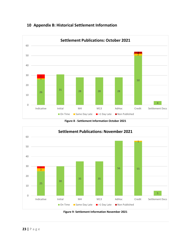<span id="page-22-0"></span>

# **Appendix B: Historical Settlement Information**





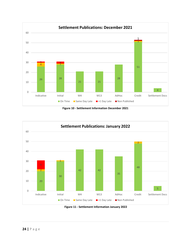

**Figure 10 - Settlement Information December 2021**



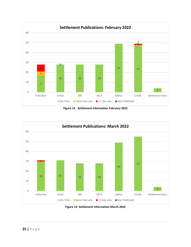

**Figure 12 - Settlement Information February 2022**



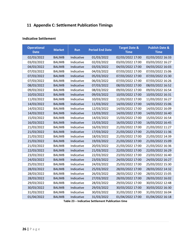# **11 Appendix C: Settlement Publication Timings**

#### <span id="page-25-0"></span>**Indicative Settlement**

| <b>Operational</b><br><b>Date</b> | <b>Market</b> | <b>Run</b> | <b>Period End Date</b> | <b>Target Date &amp;</b><br><b>Time</b> | <b>Publish Date &amp;</b><br><b>Time</b> |
|-----------------------------------|---------------|------------|------------------------|-----------------------------------------|------------------------------------------|
| 02/03/2022                        | <b>BALIMB</b> | Indicative | 01/03/2022             | 02/03/2022 17:00                        | 02/03/2022 16:33                         |
| 03/03/2022                        | <b>BALIMB</b> | Indicative | 02/03/2022             | 03/03/2022 17:00                        | 03/03/2022 16:27                         |
| 04/03/2022                        | <b>BALIMB</b> | Indicative | 03/03/2022             | 04/03/2022 17:00                        | 04/03/2022 16:03                         |
| 07/03/2022                        | <b>BALIMB</b> | Indicative | 04/03/2022             | 07/03/2022 17:00                        | 07/03/2022 15:06                         |
| 07/03/2022                        | <b>BALIMB</b> | Indicative | 05/03/2022             | 07/03/2022 17:00                        | 07/03/2022 15:30                         |
| 07/03/2022                        | <b>BALIMB</b> | Indicative | 06/03/2022             | 07/03/2022 17:00                        | 07/03/2022 16:26                         |
| 08/03/2022                        | <b>BALIMB</b> | Indicative | 07/03/2022             | 08/03/2022 17:00                        | 08/03/2022 16:52                         |
| 09/03/2022                        | <b>BALIMB</b> | Indicative | 08/03/2022             | 09/03/2022 17:00                        | 09/03/2022 16:54                         |
| 10/03/2022                        | <b>BALIMB</b> | Indicative | 09/03/2022             | 10/03/2022 17:00                        | 10/03/2022 16:31                         |
| 11/03/2022                        | <b>BALIMB</b> | Indicative | 10/03/2022             | 11/03/2022 17:00                        | 11/03/2022 16:27                         |
| 14/03/2022                        | <b>BALIMB</b> | Indicative | 11/03/2022             | 14/03/2022 17:00                        | 14/03/2022 15:06                         |
| 14/03/2022                        | <b>BALIMB</b> | Indicative | 12/03/2022             | 14/03/2022 17:00                        | 14/03/2022 16:09                         |
| 14/03/2022                        | <b>BALIMB</b> | Indicative | 13/03/2022             | 14/03/2022 17:00                        | 14/03/2022 16:40                         |
| 15/03/2022                        | <b>BALIMB</b> | Indicative | 14/03/2022             | 15/03/2022 17:00                        | 15/03/2022 16:54                         |
| 16/03/2022                        | <b>BALIMB</b> | Indicative | 15/03/2022             | 16/03/2022 17:00                        | 16/03/2022 16:45                         |
| 21/03/2022                        | <b>BALIMB</b> | Indicative | 16/03/2022             | 21/03/2022 17:00                        | 21/03/2022 11:27                         |
| 21/03/2022                        | <b>BALIMB</b> | Indicative | 17/03/2022             | 21/03/2022 17:00                        | 21/03/2022 11:36                         |
| 21/03/2022                        | <b>BALIMB</b> | Indicative | 18/03/2022             | 21/03/2022 17:00                        | 21/03/2022 14:39                         |
| 21/03/2022                        | <b>BALIMB</b> | Indicative | 19/03/2022             | 21/03/2022 17:00                        | 21/03/2022 15:09                         |
| 21/03/2022                        | <b>BALIMB</b> | Indicative | 20/03/2022             | 21/03/2022 17:00                        | 21/03/2022 16:36                         |
| 22/03/2022                        | <b>BALIMB</b> | Indicative | 21/03/2022             | 22/03/2022 17:00                        | 22/03/2022 16:29                         |
| 23/03/2022                        | <b>BALIMB</b> | Indicative | 22/03/2022             | 23/03/2022 17:00                        | 23/03/2022 16:40                         |
| 24/03/2022                        | <b>BALIMB</b> | Indicative | 23/03/2022             | 24/03/2022 17:00                        | 24/03/2022 16:27                         |
| 25/03/2022                        | <b>BALIMB</b> | Indicative | 24/03/2022             | 25/03/2022 17:00                        | 25/03/2022 15:30                         |
| 28/03/2022                        | <b>BALIMB</b> | Indicative | 25/03/2022             | 28/03/2022 17:00                        | 28/03/2022 14:32                         |
| 28/03/2022                        | <b>BALIMB</b> | Indicative | 26/03/2022             | 28/03/2022 17:00                        | 28/03/2022 15:05                         |
| 28/03/2022                        | <b>BALIMB</b> | Indicative | 27/03/2022             | 28/03/2022 17:00                        | 28/03/2022 16:02                         |
| 29/03/2022                        | <b>BALIMB</b> | Indicative | 28/03/2022             | 29/03/2022 17:00                        | 30/03/2022 12:48                         |
| 30/03/2022                        | <b>BALIMB</b> | Indicative | 29/03/2022             | 30/03/2022 17:00                        | 30/03/2022 16:30                         |
| 31/03/2022                        | <b>BALIMB</b> | Indicative | 30/03/2022             | 31/03/2022 17:00                        | 31/03/2022 16:04                         |
| 01/04/2022                        | <b>BALIMB</b> | Indicative | 31/03/2022             | 01/04/2022 17:00                        | 01/04/2022 16:18                         |

**Table 23 – Indicative Settlement Publication time**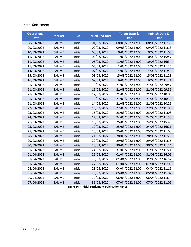## **Initial Settlement**

| <b>Operational</b><br><b>Date</b> | <b>Market</b> | <b>Run</b> | <b>Period End Date</b> | <b>Target Date &amp;</b><br><b>Time</b> | <b>Publish Date &amp;</b><br><b>Time</b> |
|-----------------------------------|---------------|------------|------------------------|-----------------------------------------|------------------------------------------|
| 08/03/2022                        | <b>BALIMB</b> | Initial    | 01/03/2022             | 08/03/2022 12:00                        | 08/03/2022 11:35                         |
| 09/03/2022                        | <b>BALIMB</b> | Initial    | 02/03/2022             | 09/03/2022 12:00                        | 09/03/2022 11:13                         |
| 10/03/2022                        | <b>BALIMB</b> | Initial    | 03/03/2022             | 10/03/2022 12:00                        | 10/03/2022 11:03                         |
| 11/03/2022                        | <b>BALIMB</b> | Initial    | 04/03/2022             | 11/03/2022 12:00                        | 10/03/2022 15:47                         |
| 11/03/2022                        | <b>BALIMB</b> | Initial    | 05/03/2022             | 11/03/2022 12:00                        | 10/03/2022 16:34                         |
| 11/03/2022                        | <b>BALIMB</b> | Initial    | 06/03/2022             | 11/03/2022 12:00                        | 11/03/2022 11:36                         |
| 14/03/2022                        | <b>BALIMB</b> | Initial    | 07/03/2022             | 14/03/2022 12:00                        | 14/03/2022 11:40                         |
| 15/03/2022                        | <b>BALIMB</b> | Initial    | 08/03/2022             | 15/03/2022 12:00                        | 15/03/2022 11:28                         |
| 16/03/2022                        | <b>BALIMB</b> | Initial    | 09/03/2022             | 16/03/2022 12:00                        | 16/03/2022 11:41                         |
| 21/03/2022                        | <b>BALIMB</b> | Initial    | 10/03/2022             | 21/03/2022 12:00                        | 21/03/2022 09:47                         |
| 21/03/2022                        | <b>BALIMB</b> | Initial    | 11/03/2022             | 21/03/2022 12:00                        | 21/03/2022 09:56                         |
| 21/03/2022                        | <b>BALIMB</b> | Initial    | 12/03/2022             | 21/03/2022 12:00                        | 21/03/2022 10:06                         |
| 21/03/2022                        | <b>BALIMB</b> | Initial    | 13/03/2022             | 21/03/2022 12:00                        | 21/03/2022 10:14                         |
| 21/03/2022                        | <b>BALIMB</b> | Initial    | 14/03/2022             | 21/03/2022 12:00                        | 21/03/2022 10:21                         |
| 22/03/2022                        | <b>BALIMB</b> | Initial    | 15/03/2022             | 22/03/2022 12:00                        | 22/03/2022 11:05                         |
| 23/03/2022                        | <b>BALIMB</b> | Initial    | 16/03/2022             | 23/03/2022 12:00                        | 23/03/2022 11:08                         |
| 24/03/2022                        | <b>BALIMB</b> | Initial    | 17/03/2022             | 24/03/2022 12:00                        | 24/03/2022 11:53                         |
| 25/03/2022                        | <b>BALIMB</b> | Initial    | 18/03/2022             | 25/03/2022 12:00                        | 24/03/2022 15:40                         |
| 25/03/2022                        | <b>BALIMB</b> | Initial    | 19/03/2022             | 25/03/2022 12:00                        | 24/03/2022 16:21                         |
| 25/03/2022                        | <b>BALIMB</b> | Initial    | 20/03/2022             | 25/03/2022 12:00                        | 25/03/2022 11:00                         |
| 28/03/2022                        | <b>BALIMB</b> | Initial    | 21/03/2022             | 28/03/2022 12:00                        | 28/03/2022 11:23                         |
| 29/03/2022                        | <b>BALIMB</b> | Initial    | 22/03/2022             | 29/03/2022 12:00                        | 29/03/2022 11:16                         |
| 30/03/2022                        | <b>BALIMB</b> | Initial    | 23/03/2022             | 30/03/2022 12:00                        | 30/03/2022 11:24                         |
| 31/03/2022                        | <b>BALIMB</b> | Initial    | 24/03/2022             | 31/03/2022 12:00                        | 31/03/2022 11:21                         |
| 01/04/2022                        | <b>BALIMB</b> | Initial    | 25/03/2022             | 01/04/2022 12:00                        | 31/03/2022 16:09                         |
| 01/04/2022                        | <b>BALIMB</b> | Initial    | 26/03/2022             | 01/04/2022 12:00                        | 31/03/2022 16:57                         |
| 01/04/2022                        | <b>BALIMB</b> | Initial    | 27/03/2022             | 01/04/2022 12:00                        | 01/04/2022 11:05                         |
| 04/04/2022                        | <b>BALIMB</b> | Initial    | 28/03/2022             | 04/04/2022 12:00                        | 04/04/2022 11:15                         |
| 05/04/2022                        | <b>BALIMB</b> | Initial    | 29/03/2022             | 05/04/2022 12:00                        | 05/04/2022 11:07                         |
| 06/04/2022                        | <b>BALIMB</b> | Initial    | 30/03/2022             | 06/04/2022 12:00                        | 06/04/2022 11:14                         |
| 07/04/2022                        | <b>BALIMB</b> | Initial    | 31/03/2022             | 07/04/2022 12:00                        | 07/04/2022 11:06                         |

**Table 24 – Initial Settlement Publication times**